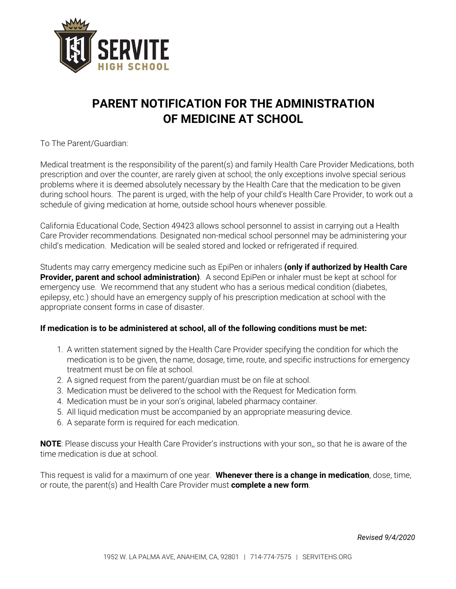

# **PARENT NOTIFICATION FOR THE ADMINISTRATION OF MEDICINE AT SCHOOL**

### To The Parent/Guardian:

Medical treatment is the responsibility of the parent(s) and family Health Care Provider Medications, both prescription and over the counter, are rarely given at school; the only exceptions involve special serious problems where it is deemed absolutely necessary by the Health Care that the medication to be given during school hours. The parent is urged, with the help of your child's Health Care Provider, to work out a schedule of giving medication at home, outside school hours whenever possible.

California Educational Code, Section 49423 allows school personnel to assist in carrying out a Health Care Provider recommendations. Designated non-medical school personnel may be administering your child's medication. Medication will be sealed stored and locked or refrigerated if required.

Students may carry emergency medicine such as EpiPen or inhalers **(only if authorized by Health Care Provider, parent and school administration)**. A second EpiPen or inhaler must be kept at school for emergency use. We recommend that any student who has a serious medical condition (diabetes, epilepsy, etc.) should have an emergency supply of his prescription medication at school with the appropriate consent forms in case of disaster.

#### **If medication is to be administered at school, all of the following conditions must be met:**

- 1. A written statement signed by the Health Care Provider specifying the condition for which the medication is to be given, the name, dosage, time, route, and specific instructions for emergency treatment must be on file at school.
- 2. A signed request from the parent/guardian must be on file at school.
- 3. Medication must be delivered to the school with the Request for Medication form.
- 4. Medication must be in your son's original, labeled pharmacy container.
- 5. All liquid medication must be accompanied by an appropriate measuring device.
- 6. A separate form is required for each medication.

**NOTE**: Please discuss your Health Care Provider's instructions with your son,, so that he is aware of the time medication is due at school.

This request is valid for a maximum of one year. **Whenever there is a change in medication**, dose, time, or route, the parent(s) and Health Care Provider must **complete a new form**.

*Revised 9/4/2020*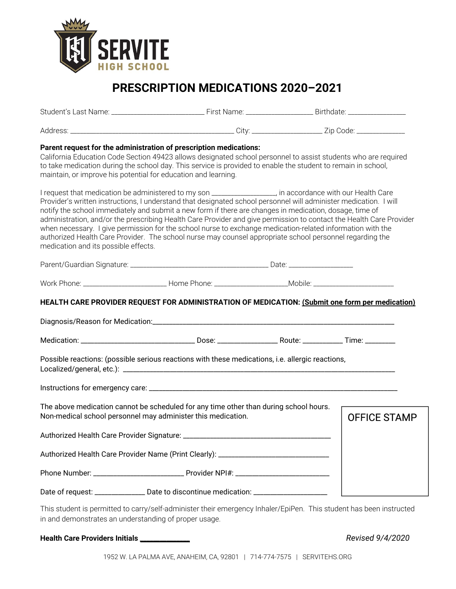

## **PRESCRIPTION MEDICATIONS 2020–2021**

| Parent request for the administration of prescription medications:<br>California Education Code Section 49423 allows designated school personnel to assist students who are required<br>to take medication during the school day. This service is provided to enable the student to remain in school,<br>maintain, or improve his potential for education and learning.                                                                                                                                                                                                                                                                                                                                                            |  |                     |
|------------------------------------------------------------------------------------------------------------------------------------------------------------------------------------------------------------------------------------------------------------------------------------------------------------------------------------------------------------------------------------------------------------------------------------------------------------------------------------------------------------------------------------------------------------------------------------------------------------------------------------------------------------------------------------------------------------------------------------|--|---------------------|
| I request that medication be administered to my son _________________, in accordance with our Health Care<br>Provider's written instructions, I understand that designated school personnel will administer medication. I will<br>notify the school immediately and submit a new form if there are changes in medication, dosage, time of<br>administration, and/or the prescribing Health Care Provider and give permission to contact the Health Care Provider<br>when necessary. I give permission for the school nurse to exchange medication-related information with the<br>authorized Health Care Provider. The school nurse may counsel appropriate school personnel regarding the<br>medication and its possible effects. |  |                     |
|                                                                                                                                                                                                                                                                                                                                                                                                                                                                                                                                                                                                                                                                                                                                    |  |                     |
| Work Phone: ___________________________Home Phone: ___________________________Mobile: ________________________                                                                                                                                                                                                                                                                                                                                                                                                                                                                                                                                                                                                                     |  |                     |
| HEALTH CARE PROVIDER REQUEST FOR ADMINISTRATION OF MEDICATION: (Submit one form per medication)                                                                                                                                                                                                                                                                                                                                                                                                                                                                                                                                                                                                                                    |  |                     |
|                                                                                                                                                                                                                                                                                                                                                                                                                                                                                                                                                                                                                                                                                                                                    |  |                     |
| Possible reactions: (possible serious reactions with these medications, i.e. allergic reactions,                                                                                                                                                                                                                                                                                                                                                                                                                                                                                                                                                                                                                                   |  |                     |
|                                                                                                                                                                                                                                                                                                                                                                                                                                                                                                                                                                                                                                                                                                                                    |  |                     |
| The above medication cannot be scheduled for any time other than during school hours.<br>Non-medical school personnel may administer this medication.                                                                                                                                                                                                                                                                                                                                                                                                                                                                                                                                                                              |  | <b>OFFICE STAMP</b> |
|                                                                                                                                                                                                                                                                                                                                                                                                                                                                                                                                                                                                                                                                                                                                    |  |                     |
| Authorized Health Care Provider Name (Print Clearly): ___________________________                                                                                                                                                                                                                                                                                                                                                                                                                                                                                                                                                                                                                                                  |  |                     |
|                                                                                                                                                                                                                                                                                                                                                                                                                                                                                                                                                                                                                                                                                                                                    |  |                     |
| Date of request: ________________ Date to discontinue medication: ____________________                                                                                                                                                                                                                                                                                                                                                                                                                                                                                                                                                                                                                                             |  |                     |

This student is permitted to carry/self-administer their emergency Inhaler/EpiPen. This student has been instructed in and demonstrates an understanding of proper usage.

### **Health Care Providers Initials \_\_\_\_\_\_\_\_\_\_\_\_\_\_\_** *Revised 9/4/2020*